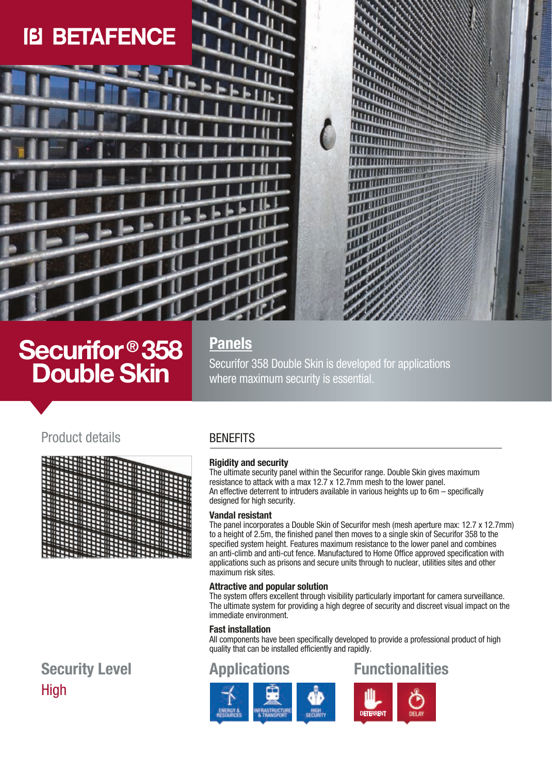# **IB BETAFENCE**

# **Securifor ® 358 Double Skin**

# **Panels**

Securifor 358 Double Skin is developed for applications where maximum security is essential.

## Product details BENEFITS

|                  | 4<br><b>ALLIENT LEASENER</b>             |  |
|------------------|------------------------------------------|--|
|                  |                                          |  |
|                  |                                          |  |
| с                |                                          |  |
| п                |                                          |  |
| с                | <b>MARKETTER DESCRIPTION OF PROPERTY</b> |  |
| o                |                                          |  |
|                  |                                          |  |
| с                | ▟╫╄╂╪╂╫╪╪╪╪╪ <del>┆┆╒┝┝┝┝┝┝┝┝┝</del> ╄╄╄ |  |
| О                |                                          |  |
| ◐                | <del>ヿヸヿヿヿヿヿヿヿヿヿヿヿヿヿヿヿヿヿヿヿ</del>         |  |
| O                |                                          |  |
| о                |                                          |  |
|                  |                                          |  |
| п                |                                          |  |
| O                |                                          |  |
| с                |                                          |  |
|                  |                                          |  |
|                  |                                          |  |
| O                |                                          |  |
|                  |                                          |  |
| c                |                                          |  |
| с<br><b>HTHE</b> |                                          |  |
|                  |                                          |  |

# High **Security Level**

#### **Rigidity and security**

The ultimate security panel within the Securifor range. Double Skin gives maximum resistance to attack with a max 12.7 x 12.7mm mesh to the lower panel. An effective deterrent to intruders available in various heights up to 6m – specifically designed for high security.

#### **Vandal resistant**

The panel incorporates a Double Skin of Securifor mesh (mesh aperture max: 12.7 x 12.7mm) to a height of 2.5m, the finished panel then moves to a single skin of Securifor 358 to the specified system height. Features maximum resistance to the lower panel and combines an anti-climb and anti-cut fence. Manufactured to Home Office approved specification with applications such as prisons and secure units through to nuclear, utilities sites and other maximum risk sites.

#### **Attractive and popular solution**

The system offers excellent through visibility particularly important for camera surveillance. The ultimate system for providing a high degree of security and discreet visual impact on the immediate environment.

#### **Fast installation**

All components have been specifically developed to provide a professional product of high quality that can be installed efficiently and rapidly.

## **Applications**





**TATTATION** Withman **UNITED TO THE TIME**